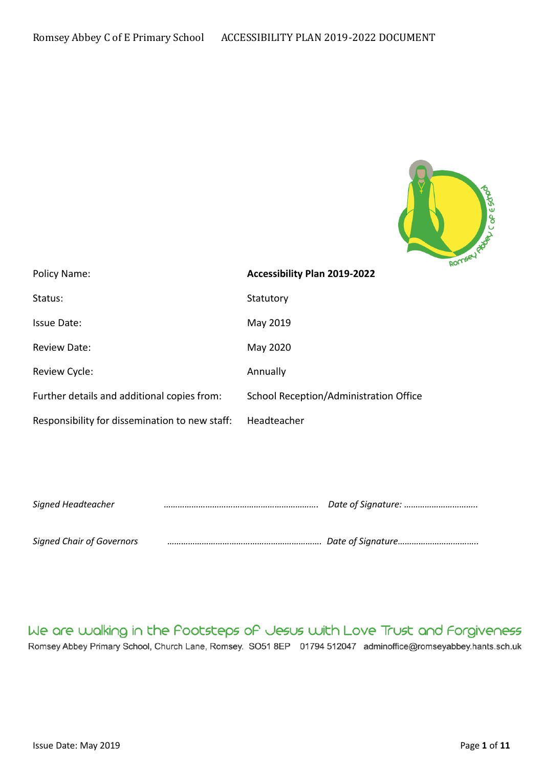

| Policy Name:                                   | Accessibility Plan 2019-2022           |
|------------------------------------------------|----------------------------------------|
| Status:                                        | Statutory                              |
| Issue Date:                                    | May 2019                               |
| <b>Review Date:</b>                            | May 2020                               |
| Review Cycle:                                  | Annually                               |
| Further details and additional copies from:    | School Reception/Administration Office |
| Responsibility for dissemination to new staff: | Headteacher                            |

| Signed Headteacher               | Date of Signature: |  |
|----------------------------------|--------------------|--|
|                                  |                    |  |
| <b>Signed Chair of Governors</b> |                    |  |

We are walking in the Pootsteps of Jesus with Love Trust and Forgiveness Romsey Abbey Primary School, Church Lane, Romsey. SO51 8EP 01794 512047 adminoffice@romseyabbey.hants.sch.uk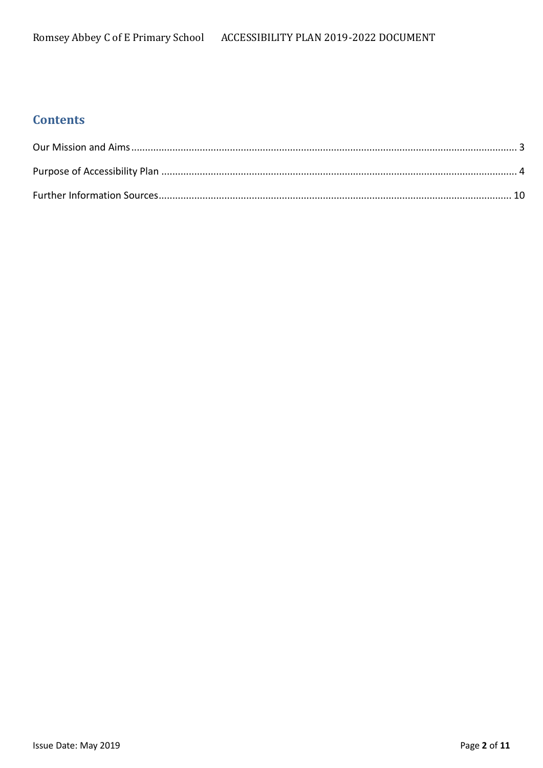# **Contents**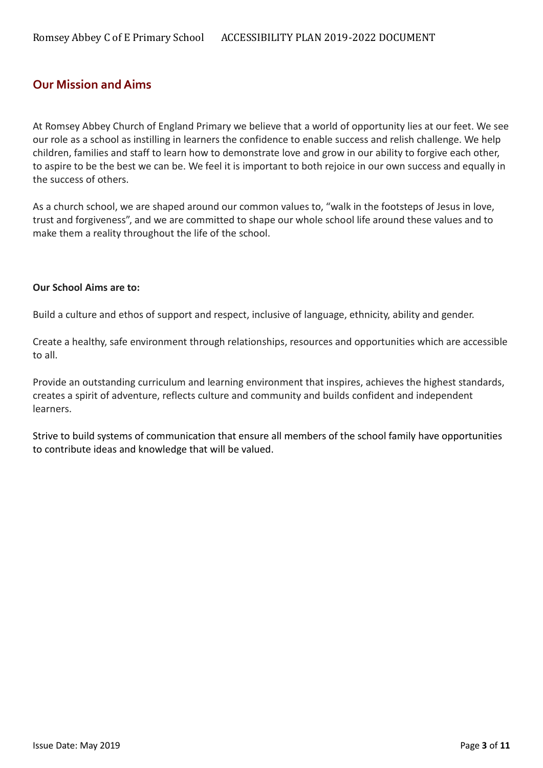### <span id="page-2-0"></span>**Our Mission and Aims**

At Romsey Abbey Church of England Primary we believe that a world of opportunity lies at our feet. We see our role as a school as instilling in learners the confidence to enable success and relish challenge. We help children, families and staff to learn how to demonstrate love and grow in our ability to forgive each other, to aspire to be the best we can be. We feel it is important to both rejoice in our own success and equally in the success of others.

As a church school, we are shaped around our common values to, "walk in the footsteps of Jesus in love, trust and forgiveness", and we are committed to shape our whole school life around these values and to make them a reality throughout the life of the school.

#### **Our School Aims are to:**

Build a culture and ethos of support and respect, inclusive of language, ethnicity, ability and gender.

Create a healthy, safe environment through relationships, resources and opportunities which are accessible to all.

Provide an outstanding curriculum and learning environment that inspires, achieves the highest standards, creates a spirit of adventure, reflects culture and community and builds confident and independent learners.

Strive to build systems of communication that ensure all members of the school family have opportunities to contribute ideas and knowledge that will be valued.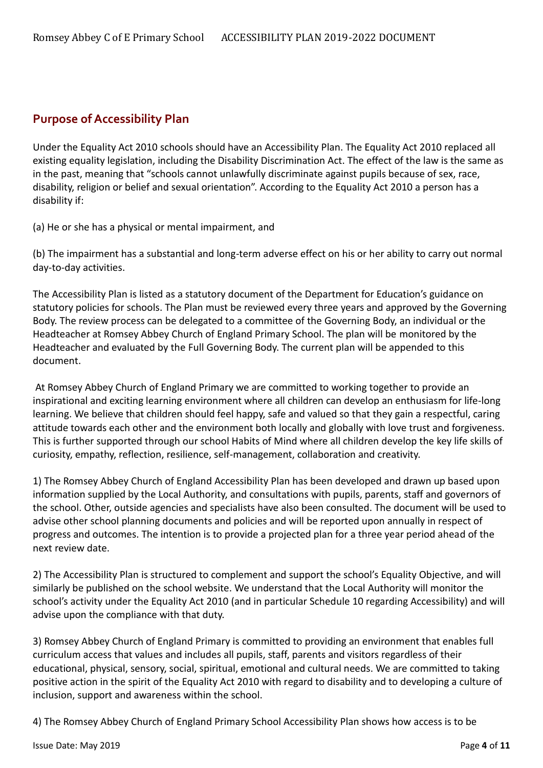# <span id="page-3-0"></span>**Purpose of Accessibility Plan**

Under the Equality Act 2010 schools should have an Accessibility Plan. The Equality Act 2010 replaced all existing equality legislation, including the Disability Discrimination Act. The effect of the law is the same as in the past, meaning that "schools cannot unlawfully discriminate against pupils because of sex, race, disability, religion or belief and sexual orientation". According to the Equality Act 2010 a person has a disability if:

(a) He or she has a physical or mental impairment, and

(b) The impairment has a substantial and long-term adverse effect on his or her ability to carry out normal day-to-day activities.

The Accessibility Plan is listed as a statutory document of the Department for Education's guidance on statutory policies for schools. The Plan must be reviewed every three years and approved by the Governing Body. The review process can be delegated to a committee of the Governing Body, an individual or the Headteacher at Romsey Abbey Church of England Primary School. The plan will be monitored by the Headteacher and evaluated by the Full Governing Body. The current plan will be appended to this document.

At Romsey Abbey Church of England Primary we are committed to working together to provide an inspirational and exciting learning environment where all children can develop an enthusiasm for life-long learning. We believe that children should feel happy, safe and valued so that they gain a respectful, caring attitude towards each other and the environment both locally and globally with love trust and forgiveness. This is further supported through our school Habits of Mind where all children develop the key life skills of curiosity, empathy, reflection, resilience, self-management, collaboration and creativity.

1) The Romsey Abbey Church of England Accessibility Plan has been developed and drawn up based upon information supplied by the Local Authority, and consultations with pupils, parents, staff and governors of the school. Other, outside agencies and specialists have also been consulted. The document will be used to advise other school planning documents and policies and will be reported upon annually in respect of progress and outcomes. The intention is to provide a projected plan for a three year period ahead of the next review date.

2) The Accessibility Plan is structured to complement and support the school's Equality Objective, and will similarly be published on the school website. We understand that the Local Authority will monitor the school's activity under the Equality Act 2010 (and in particular Schedule 10 regarding Accessibility) and will advise upon the compliance with that duty.

3) Romsey Abbey Church of England Primary is committed to providing an environment that enables full curriculum access that values and includes all pupils, staff, parents and visitors regardless of their educational, physical, sensory, social, spiritual, emotional and cultural needs. We are committed to taking positive action in the spirit of the Equality Act 2010 with regard to disability and to developing a culture of inclusion, support and awareness within the school.

4) The Romsey Abbey Church of England Primary School Accessibility Plan shows how access is to be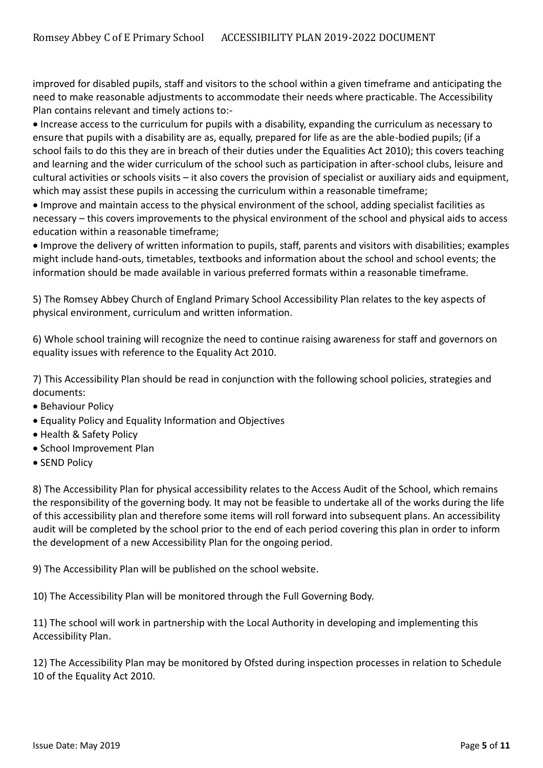improved for disabled pupils, staff and visitors to the school within a given timeframe and anticipating the need to make reasonable adjustments to accommodate their needs where practicable. The Accessibility Plan contains relevant and timely actions to:-

 Increase access to the curriculum for pupils with a disability, expanding the curriculum as necessary to ensure that pupils with a disability are as, equally, prepared for life as are the able-bodied pupils; (if a school fails to do this they are in breach of their duties under the Equalities Act 2010); this covers teaching and learning and the wider curriculum of the school such as participation in after-school clubs, leisure and cultural activities or schools visits – it also covers the provision of specialist or auxiliary aids and equipment, which may assist these pupils in accessing the curriculum within a reasonable timeframe;

 Improve and maintain access to the physical environment of the school, adding specialist facilities as necessary – this covers improvements to the physical environment of the school and physical aids to access education within a reasonable timeframe;

 Improve the delivery of written information to pupils, staff, parents and visitors with disabilities; examples might include hand-outs, timetables, textbooks and information about the school and school events; the information should be made available in various preferred formats within a reasonable timeframe.

5) The Romsey Abbey Church of England Primary School Accessibility Plan relates to the key aspects of physical environment, curriculum and written information.

6) Whole school training will recognize the need to continue raising awareness for staff and governors on equality issues with reference to the Equality Act 2010.

7) This Accessibility Plan should be read in conjunction with the following school policies, strategies and documents:

- Behaviour Policy
- Equality Policy and Equality Information and Objectives
- Health & Safety Policy
- School Improvement Plan
- SEND Policy

8) The Accessibility Plan for physical accessibility relates to the Access Audit of the School, which remains the responsibility of the governing body. It may not be feasible to undertake all of the works during the life of this accessibility plan and therefore some items will roll forward into subsequent plans. An accessibility audit will be completed by the school prior to the end of each period covering this plan in order to inform the development of a new Accessibility Plan for the ongoing period.

9) The Accessibility Plan will be published on the school website.

10) The Accessibility Plan will be monitored through the Full Governing Body.

11) The school will work in partnership with the Local Authority in developing and implementing this Accessibility Plan.

12) The Accessibility Plan may be monitored by Ofsted during inspection processes in relation to Schedule 10 of the Equality Act 2010.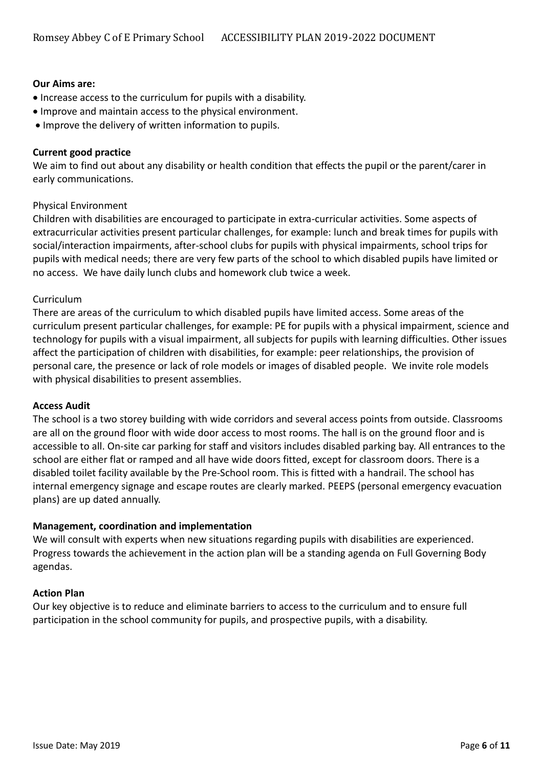#### **Our Aims are:**

- Increase access to the curriculum for pupils with a disability.
- Improve and maintain access to the physical environment.
- Improve the delivery of written information to pupils.

#### **Current good practice**

We aim to find out about any disability or health condition that effects the pupil or the parent/carer in early communications.

#### Physical Environment

Children with disabilities are encouraged to participate in extra-curricular activities. Some aspects of extracurricular activities present particular challenges, for example: lunch and break times for pupils with social/interaction impairments, after-school clubs for pupils with physical impairments, school trips for pupils with medical needs; there are very few parts of the school to which disabled pupils have limited or no access. We have daily lunch clubs and homework club twice a week.

#### Curriculum

There are areas of the curriculum to which disabled pupils have limited access. Some areas of the curriculum present particular challenges, for example: PE for pupils with a physical impairment, science and technology for pupils with a visual impairment, all subjects for pupils with learning difficulties. Other issues affect the participation of children with disabilities, for example: peer relationships, the provision of personal care, the presence or lack of role models or images of disabled people. We invite role models with physical disabilities to present assemblies.

#### **Access Audit**

The school is a two storey building with wide corridors and several access points from outside. Classrooms are all on the ground floor with wide door access to most rooms. The hall is on the ground floor and is accessible to all. On-site car parking for staff and visitors includes disabled parking bay. All entrances to the school are either flat or ramped and all have wide doors fitted, except for classroom doors. There is a disabled toilet facility available by the Pre-School room. This is fitted with a handrail. The school has internal emergency signage and escape routes are clearly marked. PEEPS (personal emergency evacuation plans) are up dated annually.

#### **Management, coordination and implementation**

We will consult with experts when new situations regarding pupils with disabilities are experienced. Progress towards the achievement in the action plan will be a standing agenda on Full Governing Body agendas.

#### **Action Plan**

Our key objective is to reduce and eliminate barriers to access to the curriculum and to ensure full participation in the school community for pupils, and prospective pupils, with a disability.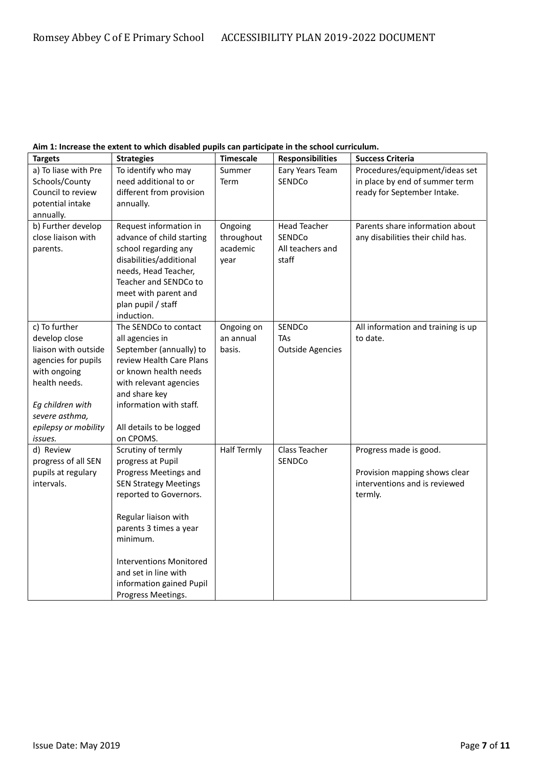|  | Aim 1: Increase the extent to which disabled pupils can participate in the school curriculum. |
|--|-----------------------------------------------------------------------------------------------|
|--|-----------------------------------------------------------------------------------------------|

| <b>Targets</b>       | <b>Strategies</b>              | <b>Timescale</b>   | <b>Responsibilities</b> | <b>Success Criteria</b>            |
|----------------------|--------------------------------|--------------------|-------------------------|------------------------------------|
| a) To liase with Pre | To identify who may            | Summer             | Eary Years Team         | Procedures/equipment/ideas set     |
| Schools/County       | need additional to or          | Term               | SENDCo                  | in place by end of summer term     |
| Council to review    | different from provision       |                    |                         | ready for September Intake.        |
| potential intake     | annually.                      |                    |                         |                                    |
| annually.            |                                |                    |                         |                                    |
| b) Further develop   | Request information in         | Ongoing            | <b>Head Teacher</b>     | Parents share information about    |
| close liaison with   | advance of child starting      | throughout         | SENDCo                  | any disabilities their child has.  |
| parents.             | school regarding any           | academic           | All teachers and        |                                    |
|                      | disabilities/additional        | year               | staff                   |                                    |
|                      | needs, Head Teacher,           |                    |                         |                                    |
|                      | Teacher and SENDCo to          |                    |                         |                                    |
|                      | meet with parent and           |                    |                         |                                    |
|                      | plan pupil / staff             |                    |                         |                                    |
|                      | induction.                     |                    |                         |                                    |
| c) To further        | The SENDCo to contact          | Ongoing on         | SENDCo                  | All information and training is up |
| develop close        | all agencies in                | an annual          | <b>TAs</b>              | to date.                           |
| liaison with outside | September (annually) to        | basis.             | <b>Outside Agencies</b> |                                    |
| agencies for pupils  | review Health Care Plans       |                    |                         |                                    |
| with ongoing         | or known health needs          |                    |                         |                                    |
| health needs.        | with relevant agencies         |                    |                         |                                    |
|                      | and share key                  |                    |                         |                                    |
| Eg children with     | information with staff.        |                    |                         |                                    |
| severe asthma,       |                                |                    |                         |                                    |
| epilepsy or mobility | All details to be logged       |                    |                         |                                    |
| issues.              | on CPOMS.                      |                    |                         |                                    |
| d) Review            | Scrutiny of termly             | <b>Half Termly</b> | Class Teacher           | Progress made is good.             |
| progress of all SEN  | progress at Pupil              |                    | SENDCo                  |                                    |
| pupils at regulary   | Progress Meetings and          |                    |                         | Provision mapping shows clear      |
| intervals.           | <b>SEN Strategy Meetings</b>   |                    |                         | interventions and is reviewed      |
|                      | reported to Governors.         |                    |                         | termly.                            |
|                      |                                |                    |                         |                                    |
|                      | Regular liaison with           |                    |                         |                                    |
|                      | parents 3 times a year         |                    |                         |                                    |
|                      | minimum.                       |                    |                         |                                    |
|                      |                                |                    |                         |                                    |
|                      | <b>Interventions Monitored</b> |                    |                         |                                    |
|                      | and set in line with           |                    |                         |                                    |
|                      | information gained Pupil       |                    |                         |                                    |
|                      | Progress Meetings.             |                    |                         |                                    |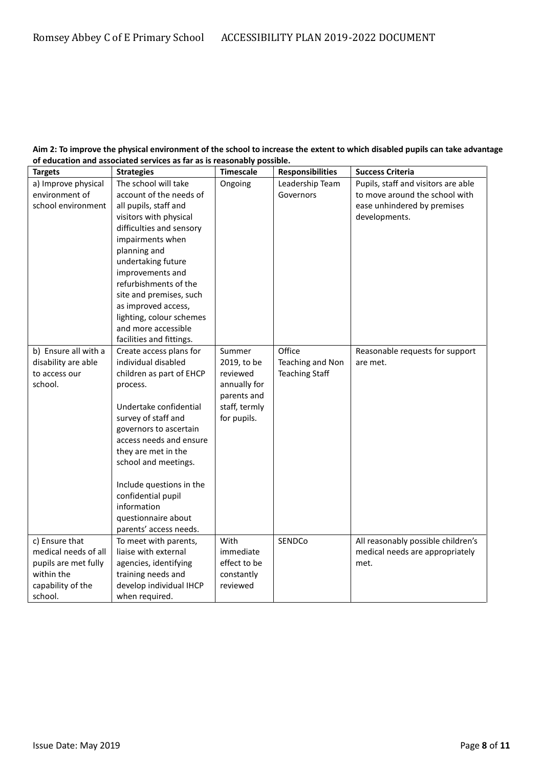#### **Aim 2: To improve the physical environment of the school to increase the extent to which disabled pupils can take advantage of education and associated services as far as is reasonably possible.**

| <b>Targets</b>       | <b>Strategies</b>        | <b>Timescale</b> | <b>Responsibilities</b> | <b>Success Criteria</b>             |
|----------------------|--------------------------|------------------|-------------------------|-------------------------------------|
| a) Improve physical  | The school will take     | Ongoing          | Leadership Team         | Pupils, staff and visitors are able |
| environment of       | account of the needs of  |                  | Governors               | to move around the school with      |
| school environment   | all pupils, staff and    |                  |                         | ease unhindered by premises         |
|                      | visitors with physical   |                  |                         | developments.                       |
|                      | difficulties and sensory |                  |                         |                                     |
|                      | impairments when         |                  |                         |                                     |
|                      | planning and             |                  |                         |                                     |
|                      | undertaking future       |                  |                         |                                     |
|                      | improvements and         |                  |                         |                                     |
|                      | refurbishments of the    |                  |                         |                                     |
|                      | site and premises, such  |                  |                         |                                     |
|                      | as improved access,      |                  |                         |                                     |
|                      | lighting, colour schemes |                  |                         |                                     |
|                      | and more accessible      |                  |                         |                                     |
|                      | facilities and fittings. |                  |                         |                                     |
| b) Ensure all with a | Create access plans for  | Summer           | Office                  | Reasonable requests for support     |
| disability are able  | individual disabled      | 2019, to be      | Teaching and Non        | are met.                            |
| to access our        | children as part of EHCP | reviewed         | <b>Teaching Staff</b>   |                                     |
| school.              | process.                 | annually for     |                         |                                     |
|                      |                          | parents and      |                         |                                     |
|                      | Undertake confidential   | staff, termly    |                         |                                     |
|                      | survey of staff and      | for pupils.      |                         |                                     |
|                      | governors to ascertain   |                  |                         |                                     |
|                      | access needs and ensure  |                  |                         |                                     |
|                      | they are met in the      |                  |                         |                                     |
|                      | school and meetings.     |                  |                         |                                     |
|                      |                          |                  |                         |                                     |
|                      | Include questions in the |                  |                         |                                     |
|                      | confidential pupil       |                  |                         |                                     |
|                      | information              |                  |                         |                                     |
|                      | questionnaire about      |                  |                         |                                     |
|                      | parents' access needs.   |                  |                         |                                     |
| c) Ensure that       | To meet with parents,    | With             | SENDCo                  | All reasonably possible children's  |
| medical needs of all | liaise with external     | immediate        |                         | medical needs are appropriately     |
| pupils are met fully | agencies, identifying    | effect to be     |                         | met.                                |
| within the           | training needs and       | constantly       |                         |                                     |
| capability of the    | develop individual IHCP  | reviewed         |                         |                                     |
| school.              | when required.           |                  |                         |                                     |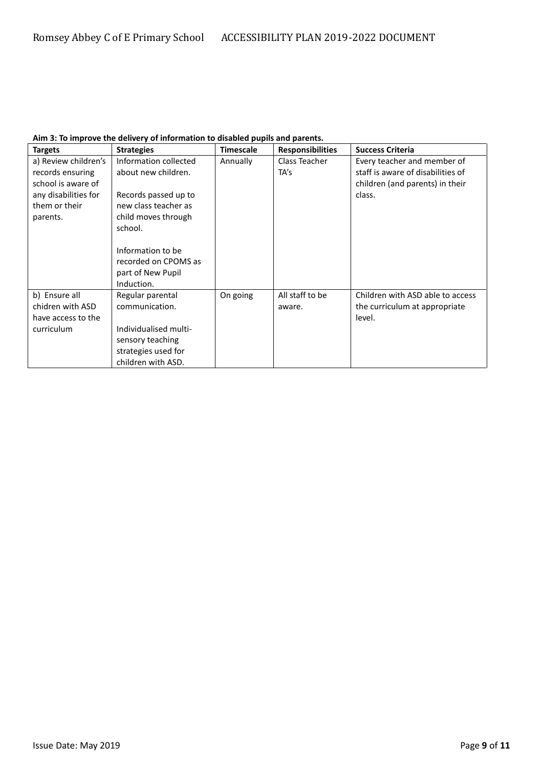| <b>Targets</b>                                                                                                      | <b>Strategies</b>                                                                                                              | <b>Timescale</b> | <b>Responsibilities</b>   | <b>Success Criteria</b>                                                                                       |
|---------------------------------------------------------------------------------------------------------------------|--------------------------------------------------------------------------------------------------------------------------------|------------------|---------------------------|---------------------------------------------------------------------------------------------------------------|
| a) Review children's<br>records ensuring<br>school is aware of<br>any disabilities for<br>them or their<br>parents. | Information collected<br>about new children.<br>Records passed up to<br>new class teacher as<br>child moves through<br>school. | Annually         | Class Teacher<br>TA's     | Every teacher and member of<br>staff is aware of disabilities of<br>children (and parents) in their<br>class. |
|                                                                                                                     | Information to be<br>recorded on CPOMS as<br>part of New Pupil<br>Induction.                                                   |                  |                           |                                                                                                               |
| b) Ensure all<br>chidren with ASD<br>have access to the<br>curriculum                                               | Regular parental<br>communication.<br>Individualised multi-<br>sensory teaching<br>strategies used for<br>children with ASD.   | On going         | All staff to be<br>aware. | Children with ASD able to access<br>the curriculum at appropriate<br>level.                                   |

#### **Aim 3: To improve the delivery of information to disabled pupils and parents.**